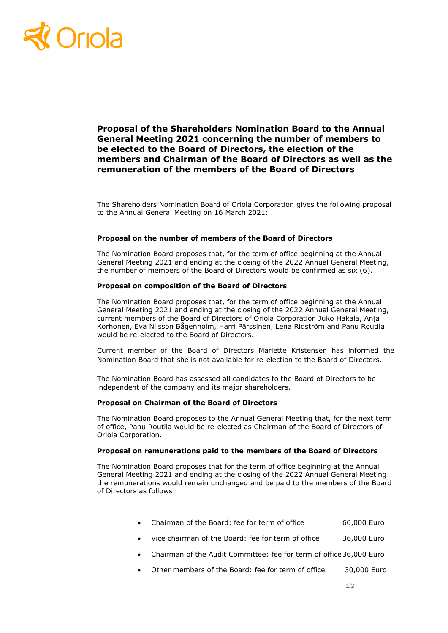# Oriola

**Proposal of the Shareholders Nomination Board to the Annual General Meeting 2021 concerning the number of members to be elected to the Board of Directors, the election of the members and Chairman of the Board of Directors as well as the remuneration of the members of the Board of Directors**

The Shareholders Nomination Board of Oriola Corporation gives the following proposal to the Annual General Meeting on 16 March 2021:

## **Proposal on the number of members of the Board of Directors**

The Nomination Board proposes that, for the term of office beginning at the Annual General Meeting 2021 and ending at the closing of the 2022 Annual General Meeting, the number of members of the Board of Directors would be confirmed as six (6).

# **Proposal on composition of the Board of Directors**

The Nomination Board proposes that, for the term of office beginning at the Annual General Meeting 2021 and ending at the closing of the 2022 Annual General Meeting, current members of the Board of Directors of Oriola Corporation Juko Hakala, Anja Korhonen, Eva Nilsson Bågenholm, Harri Pärssinen, Lena Ridström and Panu Routila would be re-elected to the Board of Directors.

Current member of the Board of Directors Mariette Kristensen has informed the Nomination Board that she is not available for re-election to the Board of Directors.

The Nomination Board has assessed all candidates to the Board of Directors to be independent of the company and its major shareholders.

## **Proposal on Chairman of the Board of Directors**

The Nomination Board proposes to the Annual General Meeting that, for the next term of office, Panu Routila would be re-elected as Chairman of the Board of Directors of Oriola Corporation.

# **Proposal on remunerations paid to the members of the Board of Directors**

The Nomination Board proposes that for the term of office beginning at the Annual General Meeting 2021 and ending at the closing of the 2022 Annual General Meeting the remunerations would remain unchanged and be paid to the members of the Board of Directors as follows:

|  | Chairman of the Board: fee for term of office |  |  |  | 60,000 Euro |  |
|--|-----------------------------------------------|--|--|--|-------------|--|
|--|-----------------------------------------------|--|--|--|-------------|--|

- Vice chairman of the Board: fee for term of office 36,000 Euro
- Chairman of the Audit Committee: fee for term of office36,000 Euro
- Other members of the Board: fee for term of office 30,000 Euro